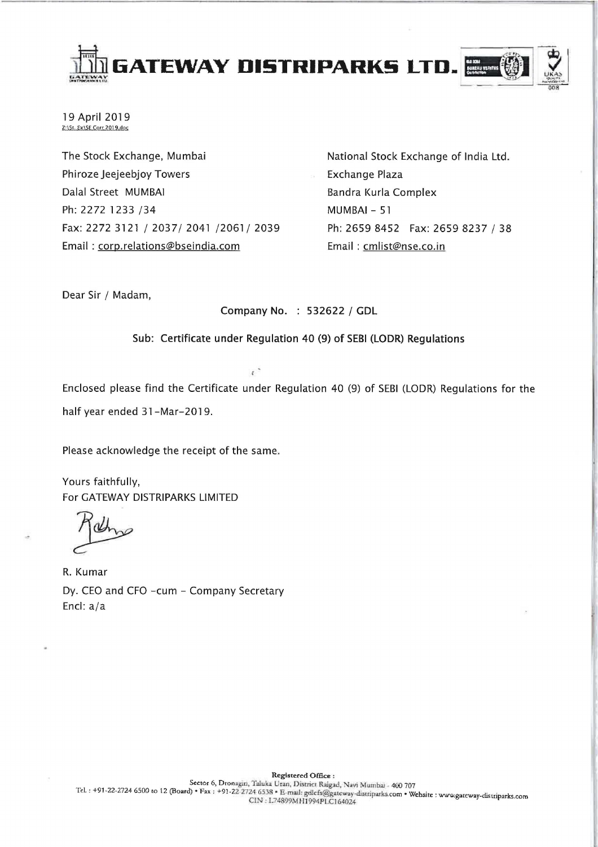

19 April 2019 Z:\St. Ex\SE Corr 2019.doc

The Stock Exchange, Mumbai Phiroze Jeejeebjoy Towers Dalal Street MUMBAI Ph: 2272 1233 /34 Fax: 2272 3121 / 2037/ 2041 /2061/ 2039 Email: corp.relations@bseindia.com

National Stock Exchange of India Ltd. Exchange Plaza Bandra Kurla Complex MUMBAI - 51 Ph: 2659 8452 Fax: 2659 8237 / 38 Email: cmlist@nse.co.in

Dear Sir / Madam,

Company No. : 532622 / GDL

Sub: Certificate under Regulation 40 (9) of SEBI (LODR) Regulations

 $\epsilon$ 

Enclosed please find the Certificate under Regulation 40 (9) of SEBI (LODR) Regulations for the half year ended 31-Mar-2019.

Please acknowledge the receipt of the same.

Yours faithfully, For GATEWAY DISTRIPARKS LIMITED

R. Kumar Dy. CEO and CFO -cum - Company Secretary Encl:  $a/a$